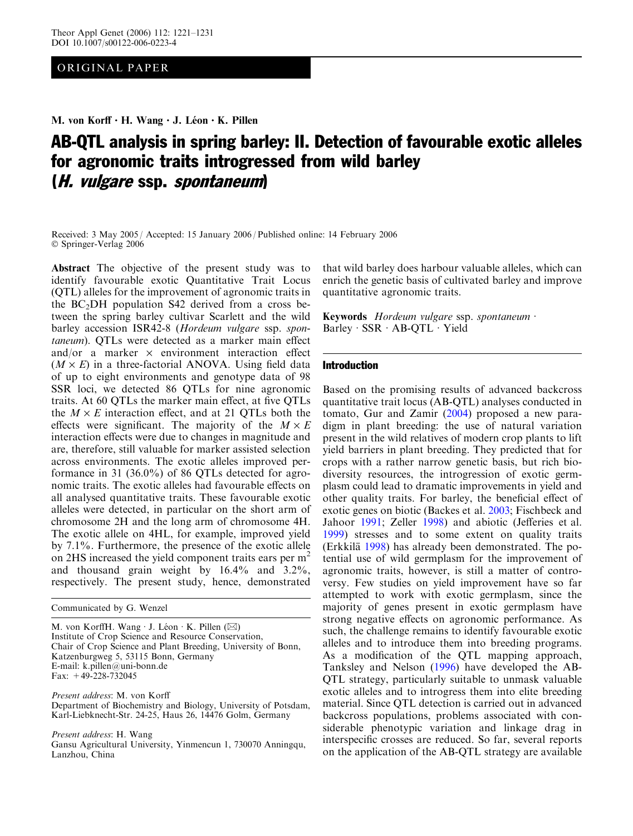ORIGINAL PAPER

M. von Korff · H. Wang · J. Léon · K. Pillen

# AB-QTL analysis in spring barley: II. Detection of favourable exotic alleles for agronomic traits introgressed from wild barley (H. vulgare ssp. spontaneum)

Received: 3 May 2005 / Accepted: 15 January 2006 / Published online: 14 February 2006 Springer-Verlag 2006

Abstract The objective of the present study was to identify favourable exotic Quantitative Trait Locus (QTL) alleles for the improvement of agronomic traits in the  $BC<sub>2</sub>DH$  population S42 derived from a cross between the spring barley cultivar Scarlett and the wild barley accession ISR42-8 (Hordeum vulgare ssp. spontaneum). QTLs were detected as a marker main effect and/or a marker  $\times$  environment interaction effect  $(M \times E)$  in a three-factorial ANOVA. Using field data of up to eight environments and genotype data of 98 SSR loci, we detected 86 QTLs for nine agronomic traits. At 60 QTLs the marker main effect, at five QTLs the  $M \times E$  interaction effect, and at 21 QTLs both the effects were significant. The majority of the  $M \times E$ interaction effects were due to changes in magnitude and are, therefore, still valuable for marker assisted selection across environments. The exotic alleles improved performance in 31 (36.0%) of 86 QTLs detected for agronomic traits. The exotic alleles had favourable effects on all analysed quantitative traits. These favourable exotic alleles were detected, in particular on the short arm of chromosome 2H and the long arm of chromosome 4H. The exotic allele on 4HL, for example, improved yield by 7.1%. Furthermore, the presence of the exotic allele on 2HS increased the yield component traits ears per m<sup>2</sup> and thousand grain weight by 16.4% and 3.2%, respectively. The present study, hence, demonstrated

Communicated by G. Wenzel

M. von KorffH. Wang  $\cdot$  J. Léon  $\cdot$  K. Pillen ( $\boxtimes$ ) Institute of Crop Science and Resource Conservation, Chair of Crop Science and Plant Breeding, University of Bonn, Katzenburgweg 5, 53115 Bonn, Germany E-mail: k.pillen@uni-bonn.de Fax: +49-228-732045

Present address: M. von Korff Department of Biochemistry and Biology, University of Potsdam, Karl-Liebknecht-Str. 24-25, Haus 26, 14476 Golm, Germany

Present address: H. Wang Gansu Agricultural University, Yinmencun 1, 730070 Anningqu, Lanzhou, China

that wild barley does harbour valuable alleles, which can enrich the genetic basis of cultivated barley and improve quantitative agronomic traits.

Keywords Hordeum vulgare ssp. spontaneum  $\cdot$ Barley  $-SSR \cdot AB-QTL \cdot Yield$ 

# Introduction

Based on the promising results of advanced backcross quantitative trait locus (AB-QTL) analyses conducted in tomato, Gur and Zamir ([2004](#page-9-0)) proposed a new paradigm in plant breeding: the use of natural variation present in the wild relatives of modern crop plants to lift yield barriers in plant breeding. They predicted that for crops with a rather narrow genetic basis, but rich biodiversity resources, the introgression of exotic germplasm could lead to dramatic improvements in yield and other quality traits. For barley, the beneficial effect of exotic genes on biotic (Backes et al. [2003](#page-8-0); Fischbeck and Jahoor [1991](#page-8-0); Zeller [1998](#page-10-0)) and abiotic (Jefferies et al. [1999\)](#page-9-0) stresses and to some extent on quality traits (Erkkilä [1998\)](#page-8-0) has already been demonstrated. The potential use of wild germplasm for the improvement of agronomic traits, however, is still a matter of controversy. Few studies on yield improvement have so far attempted to work with exotic germplasm, since the majority of genes present in exotic germplasm have strong negative effects on agronomic performance. As such, the challenge remains to identify favourable exotic alleles and to introduce them into breeding programs. As a modification of the QTL mapping approach, Tanksley and Nelson ([1996](#page-9-0)) have developed the AB-QTL strategy, particularly suitable to unmask valuable exotic alleles and to introgress them into elite breeding material. Since QTL detection is carried out in advanced backcross populations, problems associated with considerable phenotypic variation and linkage drag in interspecific crosses are reduced. So far, several reports on the application of the AB-QTL strategy are available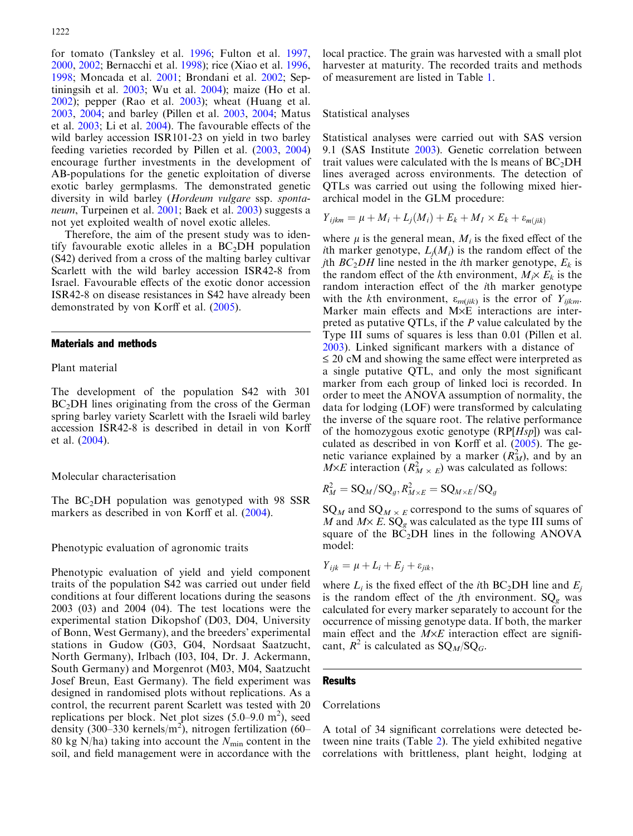for tomato (Tanksley et al. [1996;](#page-9-0) Fulton et al. [1997](#page-9-0), [2000](#page-9-0), [2002](#page-9-0); Bernacchi et al. [1998](#page-8-0)); rice (Xiao et al. [1996](#page-10-0), [1998](#page-10-0); Moncada et al. [2001](#page-9-0); Brondani et al. [2002;](#page-8-0) Septiningsih et al. [2003](#page-9-0); Wu et al. [2004](#page-10-0)); maize (Ho et al. [2002](#page-9-0)); pepper (Rao et al. [2003](#page-9-0)); wheat (Huang et al. [2003](#page-9-0), [2004](#page-9-0); and barley (Pillen et al. [2003](#page-9-0), [2004](#page-9-0); Matus et al. [2003](#page-9-0); Li et al. [2004](#page-9-0)). The favourable effects of the wild barley accession ISR101-23 on yield in two barley feeding varieties recorded by Pillen et al. ([2003](#page-9-0), [2004\)](#page-9-0) encourage further investments in the development of AB-populations for the genetic exploitation of diverse exotic barley germplasms. The demonstrated genetic diversity in wild barley (Hordeum vulgare ssp. spontaneum, Turpeinen et al. [2001](#page-9-0); Baek et al. [2003\)](#page-8-0) suggests a not yet exploited wealth of novel exotic alleles.

Therefore, the aim of the present study was to identify favourable exotic alleles in a  $BC<sub>2</sub>DH$  population (S42) derived from a cross of the malting barley cultivar Scarlett with the wild barley accession ISR42-8 from Israel. Favourable effects of the exotic donor accession ISR42-8 on disease resistances in S42 have already been demonstrated by von Korff et al. [\(2005\)](#page-9-0).

## Materials and methods

## Plant material

The development of the population S42 with 301 BC<sub>2</sub>DH lines originating from the cross of the German spring barley variety Scarlett with the Israeli wild barley accession ISR42-8 is described in detail in von Korff et al. ([2004](#page-9-0)).

## Molecular characterisation

The  $BC<sub>2</sub>DH$  population was genotyped with 98 SSR markers as described in von Korff et al. [\(2004\)](#page-9-0).

#### Phenotypic evaluation of agronomic traits

Phenotypic evaluation of yield and yield component traits of the population S42 was carried out under field conditions at four different locations during the seasons 2003 (03) and 2004 (04). The test locations were the experimental station Dikopshof (D03, D04, University of Bonn, West Germany), and the breeders' experimental stations in Gudow (G03, G04, Nordsaat Saatzucht, North Germany), Irlbach (I03, I04, Dr. J. Ackermann, South Germany) and Morgenrot (M03, M04, Saatzucht Josef Breun, East Germany). The field experiment was designed in randomised plots without replications. As a control, the recurrent parent Scarlett was tested with 20 replications per block. Net plot sizes  $(5.0-9.0 \text{ m}^2)$ , seed density (300–330 kernels/m<sup>2</sup>), nitrogen fertilization (60– 80 kg N/ha) taking into account the  $N_{\text{min}}$  content in the soil, and field management were in accordance with the

local practice. The grain was harvested with a small plot harvester at maturity. The recorded traits and methods of measurement are listed in Table [1.](#page-2-0)

#### Statistical analyses

Statistical analyses were carried out with SAS version 9.1 (SAS Institute [2003](#page-9-0)). Genetic correlation between trait values were calculated with the ls means of  $BC<sub>2</sub>DH$ lines averaged across environments. The detection of QTLs was carried out using the following mixed hierarchical model in the GLM procedure:

$$
Y_{ijkm} = \mu + M_i + L_j(M_i) + E_k + M_I \times E_k + \varepsilon_{m(jik)}
$$

where  $\mu$  is the general mean,  $M_i$  is the fixed effect of the ith marker genotype,  $L_i(M_i)$  is the random effect of the *j*th  $BC_2DH$  line nested in the *i*th marker genotype,  $E_k$  is the random effect of the kth environment,  $M_i \times E_k$  is the random interaction effect of the ith marker genotype with the kth environment,  $\varepsilon_{m(iik)}$  is the error of  $Y_{ijkm}$ . Marker main effects and M×E interactions are interpreted as putative QTLs, if the P value calculated by the Type III sums of squares is less than 0.01 (Pillen et al. [2003\)](#page-9-0). Linked significant markers with a distance of  $\leq$  20 cM and showing the same effect were interpreted as a single putative QTL, and only the most significant marker from each group of linked loci is recorded. In order to meet the ANOVA assumption of normality, the data for lodging (LOF) were transformed by calculating the inverse of the square root. The relative performance of the homozygous exotic genotype  $(RP[Hsp])$  was calculated as described in von Korff et al. ([2005\)](#page-9-0). The genetic variance explained by a marker  $(R_M^2)$ , and by an  $M\times E$  interaction  $(R_{M\times E}^2)$  was calculated as follows:

$$
R_M^2 = \mathrm{SQ}_M/\mathrm{SQ}_g, R_{M\times E}^2 = \mathrm{SQ}_{M\times E}/\mathrm{SQ}_g
$$

 $SQ_M$  and  $SQ_{M \times E}$  correspond to the sums of squares of M and  $M \times E$ . SQ<sub>g</sub> was calculated as the type III sums of square of the  $B\ddot{\text{C}}_2\text{DH}$  lines in the following ANOVA model:

$$
Y_{ijk} = \mu + L_i + E_j + \varepsilon_{jik},
$$

where  $L_i$  is the fixed effect of the *i*th BC<sub>2</sub>DH line and  $E_i$ is the random effect of the *j*th environment.  $SQ_g$  was calculated for every marker separately to account for the occurrence of missing genotype data. If both, the marker main effect and the  $M \times E$  interaction effect are significant,  $R^2$  is calculated as  $SQ_M/SQ_G$ .

#### Results

## Correlations

A total of 34 significant correlations were detected between nine traits (Table [2](#page-2-0)). The yield exhibited negative correlations with brittleness, plant height, lodging at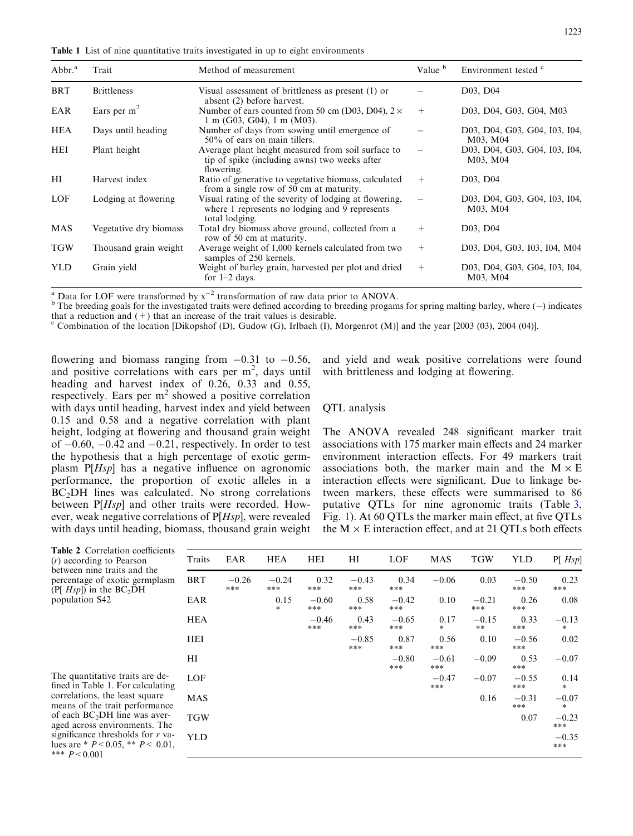<span id="page-2-0"></span>Table 1 List of nine quantitative traits investigated in up to eight environments

| Abbr. <sup>a</sup> | Trait                  | Method of measurement                                                                                                      | Value b | Environment tested <sup>c</sup>           |
|--------------------|------------------------|----------------------------------------------------------------------------------------------------------------------------|---------|-------------------------------------------|
| <b>BRT</b>         | <b>Brittleness</b>     | Visual assessment of brittleness as present (1) or<br>absent (2) before harvest.                                           |         | D03, D04                                  |
| EAR                | Ears per $m2$          | Number of ears counted from 50 cm (D03, D04), $2 \times$<br>$1 \text{ m}$ (G03, G04), $1 \text{ m}$ (M03).                 | $^{+}$  | D03, D04, G03, G04, M03                   |
| <b>HEA</b>         | Days until heading     | Number of days from sowing until emergence of<br>$50\%$ of ears on main tillers.                                           |         | D03, D04, G03, G04, I03, I04,<br>M03, M04 |
| <b>HEI</b>         | Plant height           | Average plant height measured from soil surface to<br>tip of spike (including awns) two weeks after<br>flowering.          |         | D03, D04, G03, G04, I03, I04,<br>M03, M04 |
| HI                 | Harvest index          | Ratio of generative to vegetative biomass, calculated<br>from a single row of 50 cm at maturity.                           | $^{+}$  | D <sub>03</sub> , D <sub>04</sub>         |
| LOF                | Lodging at flowering   | Visual rating of the severity of lodging at flowering,<br>where 1 represents no lodging and 9 represents<br>total lodging. |         | D03, D04, G03, G04, I03, I04,<br>M03, M04 |
| MAS                | Vegetative dry biomass | Total dry biomass above ground, collected from a<br>row of 50 cm at maturity.                                              | $^{+}$  | D03, D04                                  |
| <b>TGW</b>         | Thousand grain weight  | Average weight of 1,000 kernels calculated from two<br>samples of 250 kernels.                                             | $+$     | D03, D04, G03, I03, I04, M04              |
| <b>YLD</b>         | Grain yield            | Weight of barley grain, harvested per plot and dried<br>for $1-2$ days.                                                    | $+$     | D03, D04, G03, G04, I03, I04,<br>M03, M04 |

Data for LOF were transformed by  $x^{-2}$  transformation of raw data prior to ANOVA.

<sup>a</sup> Data for LOF were transformed by  $x^{-2}$  transformation of raw data prior to ANOVA.<br><sup>b</sup> The breeding goals for the investigated traits were defined according to breeding progams for spring malting barley, where (-) ind that a reduction and  $(+)$  that an increase of the trait values is desirable.

<sup>c</sup> Combination of the location [Dikopshof (D), Gudow (G), Irlbach (I), Morgenrot (M)] and the year [2003 (03), 2004 (04)].

flowering and biomass ranging from  $-0.31$  to  $-0.56$ , and positive correlations with ears per  $m<sup>2</sup>$ , days until heading and harvest index of 0.26, 0.33 and 0.55, respectively. Ears per m<sup>2</sup> showed a positive correlation with days until heading, harvest index and yield between 0.15 and 0.58 and a negative correlation with plant height, lodging at flowering and thousand grain weight of  $-0.60$ ,  $-0.42$  and  $-0.21$ , respectively. In order to test the hypothesis that a high percentage of exotic germplasm  $P[Hsp]$  has a negative influence on agronomic performance, the proportion of exotic alleles in a  $BC<sub>2</sub>DH$  lines was calculated. No strong correlations between P[Hsp] and other traits were recorded. However, weak negative correlations of P[Hsp], were revealed with days until heading, biomass, thousand grain weight and yield and weak positive correlations were found with brittleness and lodging at flowering.

## QTL analysis

The ANOVA revealed 248 significant marker trait associations with 175 marker main effects and 24 marker environment interaction effects. For 49 markers trait associations both, the marker main and the  $M \times E$ interaction effects were significant. Due to linkage between markers, these effects were summarised to 86 putative QTLs for nine agronomic traits (Table [3](#page-3-0), Fig. [1](#page-5-0)). At 60 QTLs the marker main effect, at five QTLs the  $M \times E$  interaction effect, and at 21 QTLs both effects

| <b>Table 2</b> Correlation coefficients<br>$(r)$ according to Pearson                                   | Traits     | EAR              | <b>HEA</b>       | HEI              | $_{\rm HI}$    | LOF              | <b>MAS</b>       | <b>TGW</b>       | <b>YLD</b>     | $P[$ Hsp]         |
|---------------------------------------------------------------------------------------------------------|------------|------------------|------------------|------------------|----------------|------------------|------------------|------------------|----------------|-------------------|
| between nine traits and the<br>percentage of exotic germplasm<br>(P[ $Hsp$ ]) in the BC <sub>2</sub> DH | <b>BRT</b> | $-0.26$<br>$***$ | $-0.24$<br>$***$ | 0.32<br>$***$    | $-0.43$<br>*** | 0.34<br>$***$    | $-0.06$          | 0.03             | $-0.50$<br>*** | 0.23<br>***       |
| population S42                                                                                          | EAR        |                  | 0.15<br>$\ast$   | $-0.60$<br>$***$ | 0.58<br>***    | $-0.42$<br>$***$ | 0.10             | $-0.21$<br>$***$ | 0.26<br>***    | 0.08              |
|                                                                                                         | <b>HEA</b> |                  |                  | $-0.46$<br>***   | 0.43<br>***    | $-0.65$<br>$***$ | 0.17<br>$\ast$   | $-0.15$<br>$***$ | 0.33<br>***    | $-0.13$<br>$\ast$ |
|                                                                                                         | HEI        |                  |                  |                  | $-0.85$<br>*** | 0.87<br>$***$    | 0.56<br>***      | 0.10             | $-0.56$<br>*** | 0.02              |
|                                                                                                         | HI         |                  |                  |                  |                | $-0.80$<br>***   | $-0.61$<br>$***$ | $-0.09$          | 0.53<br>***    | $-0.07$           |
| The quantitative traits are de-<br>fined in Table 1. For calculating                                    | LOF        |                  |                  |                  |                |                  | $-0.47$<br>***   | $-0.07$          | $-0.55$<br>*** | 0.14<br>*         |
| correlations, the least square<br>means of the trait performance                                        | <b>MAS</b> |                  |                  |                  |                |                  |                  | 0.16             | $-0.31$<br>*** | $-0.07$<br>$\ast$ |
| of each $BC2DH$ line was aver-<br>aged across environments. The                                         | <b>TGW</b> |                  |                  |                  |                |                  |                  |                  | 0.07           | $-0.23$<br>***    |
| significance thresholds for $r$ va-<br>lues are * $P < 0.05$ , ** $P < 0.01$ ,<br>*** $P < 0.001$       | <b>YLD</b> |                  |                  |                  |                |                  |                  |                  |                | $-0.35$<br>$***$  |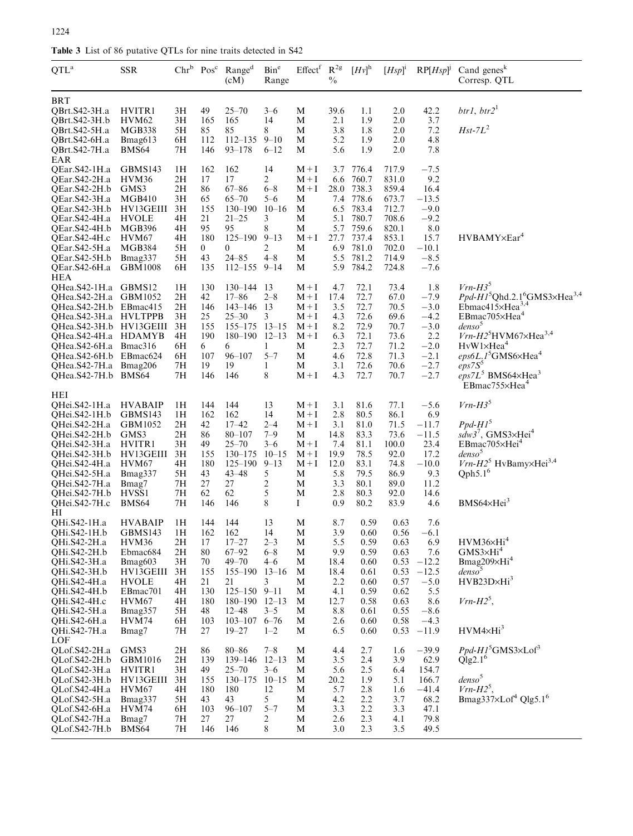<span id="page-3-0"></span>

| QTL <sup>a</sup>                                                                                                                                                                                                       | <b>SSR</b>                                                                                                                                     |                                                                      | $Chr^b$ $Pos^c$                                                                | Range <sup>d</sup><br>(cM)                                                                                                                                          | Bin <sup>e</sup><br>Range                                                                     | Effect <sup>f</sup>                                                          | $R^{2g}$<br>$\frac{0}{0}$                                                           | $[Hv]$ <sup>h</sup>                                                                             | $[Hsp]$ <sup>i</sup>                                                                            | $RP[ Hsp]^j$                                                                                             | Cand genes $k$<br>Corresp. QTL                                                                                                                                                                                                                                                                                                 |
|------------------------------------------------------------------------------------------------------------------------------------------------------------------------------------------------------------------------|------------------------------------------------------------------------------------------------------------------------------------------------|----------------------------------------------------------------------|--------------------------------------------------------------------------------|---------------------------------------------------------------------------------------------------------------------------------------------------------------------|-----------------------------------------------------------------------------------------------|------------------------------------------------------------------------------|-------------------------------------------------------------------------------------|-------------------------------------------------------------------------------------------------|-------------------------------------------------------------------------------------------------|----------------------------------------------------------------------------------------------------------|--------------------------------------------------------------------------------------------------------------------------------------------------------------------------------------------------------------------------------------------------------------------------------------------------------------------------------|
| BRT<br>QBrt.S42-3H.a<br>OBrt.S42-3H.b<br>QBrt.S42-5H.a<br>QBrt.S42-6H.a<br>QBrt.S42-7H.a                                                                                                                               | HVITR1<br>HVM <sub>62</sub><br>MGB338<br>Bmag613<br>BMS <sub>64</sub>                                                                          | 3H<br>3H<br>5H<br>6H<br>7Н                                           | 49<br>165<br>85<br>112<br>146                                                  | $25 - 70$<br>165<br>85<br>$112 - 135$<br>$93 - 178$                                                                                                                 | $3 - 6$<br>14<br>8<br>$9 - 10$<br>$6 - 12$                                                    | M<br>M<br>M<br>M<br>M                                                        | 39.6<br>2.1<br>3.8<br>5.2<br>5.6                                                    | 1.1<br>1.9<br>1.8<br>1.9<br>1.9                                                                 | 2.0<br>2.0<br>2.0<br>2.0<br>2.0                                                                 | 42.2<br>3.7<br>7.2<br>4.8<br>7.8                                                                         | btr1, btr2 <sup>1</sup><br>$Hst$ -7 $L^2$                                                                                                                                                                                                                                                                                      |
| EAR<br>QEar.S42-1H.a<br>QEar.S42-2H.a<br>QEar.S42-2H.b<br>QEar.S42-3H.a<br>QEar.S42-3H.b<br>QEar.S42-4H.a<br>QEar.S42-4H.b<br>QEar.S42-4H.c<br>QEar.S42-5H.a<br>QEar.S42-5H.b<br>QEar.S42-6H.a<br><b>HEA</b>           | GBMS143<br>HVM36<br>GMS3<br><b>MGB410</b><br>HV13GEIII<br><b>HVOLE</b><br><b>MGB396</b><br>HVM67<br><b>MGB384</b><br>Bmag337<br><b>GBM1008</b> | 1Н<br>2H<br>2H<br>3H<br>3H<br>4H<br>4H<br>4H<br>5H<br>5H<br>6H       | 162<br>17<br>86<br>65<br>155<br>21<br>95<br>180<br>$\overline{0}$<br>43<br>135 | 162<br>17<br>$67 - 86$<br>$65 - 70$<br>$130 - 190$<br>$21 - 25$<br>95<br>$125 - 190$<br>0<br>$24 - 85$<br>$112 - 155$ 9-14                                          | 14<br>$\overline{c}$<br>$6 - 8$<br>$5 - 6$<br>$10 - 16$<br>3<br>8<br>$9 - 13$<br>2<br>$4 - 8$ | $M+I$<br>$M+I$<br>$M+I$<br>M<br>M<br>M<br>М<br>$M+I$<br>M<br>M<br>М          | 3.7<br>6.6<br>28.0<br>7.4<br>6.5<br>5.1<br>5.7<br>27.7<br>6.9<br>5.5<br>5.9         | 776.4<br>760.7<br>738.3<br>778.6<br>783.4<br>780.7<br>759.6<br>737.4<br>781.0<br>781.2<br>784.2 | 717.9<br>831.0<br>859.4<br>673.7<br>712.7<br>708.6<br>820.1<br>853.1<br>702.0<br>714.9<br>724.8 | $-7.5$<br>9.2<br>16.4<br>$-13.5$<br>$-9.0$<br>$-9.2$<br>8.0<br>15.7<br>$-10.1$<br>$-8.5$<br>$-7.6$       | HVBAMY×Ear <sup>4</sup>                                                                                                                                                                                                                                                                                                        |
| QHea.S42-1H.a GBMS12<br>OHea.S42-2H.a<br>QHea.S42-2H.b EBmac415<br>QHea.S42-3H.a<br>QHea.S42-3H.b HV13GEIII<br>QHea.S42-4H.a<br>QHea.S42-6H.a Bmac316<br>QHea.S42-6H.b<br>QHea.S42-7H.a Bmag206<br>QHea.S42-7H.b BMS64 | GBM1052<br><b>HVLTPPB</b><br><b>HDAMYB</b><br>EBmac624                                                                                         | 1H<br>2H<br>2H<br>3H<br>3H<br>4H<br>6H<br>6H<br>7Н<br>7Н             | 130<br>42<br>146<br>25<br>155<br>190<br>6<br>107<br>19<br>146                  | $130 - 144$ 13<br>$17 - 86$<br>$143 - 146$ 13<br>$25 - 30$<br>$155 - 175$<br>$180 - 190$ $12 - 13$<br>6<br>96–107<br>19<br>146                                      | $2 - 8$<br>3<br>$13 - 15$<br>1<br>$5 - 7$<br>1<br>8                                           | $M+I$<br>$M+I$<br>$M+I$<br>$M+I$<br>$M+I$<br>$M+I$<br>M<br>М<br>М<br>$M+I$   | 4.7<br>17.4<br>3.5<br>4.3<br>8.2<br>6.3<br>2.3<br>4.6<br>3.1<br>4.3                 | 72.1<br>72.7<br>72.7<br>72.6<br>72.9<br>72.1<br>72.7<br>72.8<br>72.6<br>72.7                    | 73.4<br>67.0<br>70.5<br>69.6<br>70.7<br>73.6<br>71.2<br>71.3<br>70.6<br>70.7                    | 1.8<br>$-7.9$<br>$-3.0$<br>$-4.2$<br>$-3.0$<br>2.2<br>$-2.0$<br>$-2.1$<br>$-2.7$<br>$-2.7$               | $Vrn-H35$<br>$Ppd-H15Qhd.2.16GMS3×Hea3,4$<br>Ebmac415 $\times$ Hea <sup>3,4</sup><br>EBmac705×Hea <sup>4</sup><br>denso <sup>5</sup><br>$Vrn$ - $H25HVM67\times Hea3,4$<br>$HvW1\times Hea4$<br>$eps6L.1$ <sup>5</sup> GMS6×Hea <sup>4</sup><br>eps7S <sup>5</sup><br>$eps7L5$ BMS64×Hea <sup>3</sup><br>$EBmac755\times Hea4$ |
| HEI<br>QHei.S42-1H.a<br>QHei.S42-1H.b<br>QHei.S42-2H.a<br>QHei.S42-2H.b<br>QHei.S42-3H.a<br>QHei.S42-3H.b<br>QHei.S42-4H.a<br>QHei.S42-5H.a<br>QHei.S42-7H.a<br>QHei.S42-7H.b<br>QHei.S42-7H.c                         | <b>HVABAIP</b><br>GBMS143<br>GBM1052<br>GMS3<br>HVITR1<br>HV13GEIII<br>HVM67<br>Bmag337<br>Bmag7<br>HVSS <sub>1</sub><br>BMS <sub>64</sub>     | 1Н<br>1H<br>2H<br>2H<br>3H<br>3H<br>4H<br>5H<br>7Н<br>7Η<br>7Н       | 144<br>162<br>42<br>86<br>49<br>155<br>180<br>43<br>27<br>62<br>146            | 144<br>162<br>$17 - 42$<br>$80 - 107$<br>$25 - 70$<br>$130 - 175$<br>$125 - 190$<br>$43 - 48$<br>27<br>62<br>146                                                    | 13<br>14<br>$2 - 4$<br>$7 - 9$<br>$3 - 6$<br>$10 - 15$<br>$9 - 13$<br>5<br>2<br>5<br>8        | $M+I$<br>$M+I$<br>$M+I$<br>M<br>$M+I$<br>$M+I$<br>$M+I$<br>M<br>M<br>M<br>Ι. | 3.1<br>2.8<br>3.1<br>14.8<br>7.4<br>19.9<br>12.0<br>5.8<br>3.3<br>2.8<br>$_{0.9}$   | 81.6<br>80.5<br>81.0<br>83.3<br>81.1<br>78.5<br>83.1<br>79.5<br>80.1<br>80.3<br>80.2            | 77.1<br>86.1<br>71.5<br>73.6<br>100.0<br>92.0<br>74.8<br>86.9<br>89.0<br>92.0<br>83.9           | $-5.6$<br>6.9<br>$-11.7$<br>$-11.5$<br>23.4<br>17.2<br>$-10.0$<br>9.3<br>11.2<br>14.6<br>4.6             | $Vrn-H3^5$<br>$Ppd-H15$<br>$sdw3^7$ , GMS3×Hei <sup>4</sup><br>EBmac705×Hei <sup>4</sup><br>denso <sup>5</sup><br>$Vrn - H25$ HvBamy×Hei <sup>3,4</sup><br>Qph5.1 <sup>6</sup><br>BMS64×Hei <sup>3</sup>                                                                                                                       |
| HІ<br>QHi.S42-1H.a<br>QHi.S42-1H.b<br>QHi.S42-2H.a<br>QHi.S42-2H.b<br>QHi.S42-3H.a<br>QHi.S42-3H.b<br>OHi.S42-4H.a<br>QHi.S42-4H.b<br>QHi.S42-4H.c<br>QHi.S42-5H.a<br>OHi.S42-6H.a<br>QHi.S42-7H.a                     | <b>HVABAIP</b><br>GBMS143<br>HVM36<br>Ebmac684<br>Bmag603<br>HV13GEIII<br><b>HVOLE</b><br>EBmac701<br>HVM67<br>Bmag357<br>HVM74<br>Bmag7       | 1H<br>1H<br>2H<br>2H<br>3H<br>3H<br>4H<br>4H<br>4H<br>5H<br>6H<br>7H | 144<br>162<br>17<br>80<br>70<br>155<br>21<br>130<br>180<br>48<br>103<br>27     | 144<br>162<br>$17 - 27$<br>$67 - 92$<br>$49 - 70$<br>155-190 13-16<br>21<br>$125 - 150$ 9-11<br>$180 - 190$ $12 - 13$<br>$12 - 48$<br>$103 - 107$ 6-76<br>$19 - 27$ | 13<br>14<br>$2 - 3$<br>$6 - 8$<br>$4 - 6$<br>3<br>$3 - 5$<br>$1 - 2$                          | M<br>M<br>$\mathbf M$<br>M<br>M<br>M<br>M<br>M<br>M<br>M<br>M<br>M           | 8.7<br>3.9<br>5.5<br>9.9<br>18.4<br>18.4<br>2.2<br>4.1<br>12.7<br>8.8<br>2.6<br>6.5 | 0.59<br>0.60<br>0.59<br>0.59<br>0.60<br>0.61<br>0.60<br>0.59<br>0.58<br>0.61<br>0.60<br>0.60    | 0.63<br>0.56<br>0.63<br>0.63<br>0.53<br>0.53<br>0.57<br>0.62<br>0.63<br>0.55<br>0.58<br>0.53    | 7.6<br>$-6.1$<br>6.9<br>7.6<br>$-12.2$<br>$-12.5$<br>$-5.0$<br>5.5<br>8.6<br>$-8.6$<br>$-4.3$<br>$-11.9$ | $\rm HVM36\!\!\times\!\!\!H\rm i^4$<br>$GMS3\times Hi4$<br>Bmag <sub>209×Hi</sub> <sup>4</sup><br>denso <sup>5</sup><br>$HVB23D \times Hi^3$<br>$Vrn$ - $H25$ ,<br>$HVM4\times Hi^3$                                                                                                                                           |
| LOF<br>QLof.S42-2H.a<br>QLof.S42-2H.b<br>QLof.S42-3H.a<br>QLof.S42-3H.b<br>QLof.S42-4H.a<br>QLof.S42-5H.a<br>QLof.S42-6H.a<br>QLof.S42-7H.a<br>QLof.S42-7H.b                                                           | GMS3<br>GBM1016<br>HVITR1<br>HV13GEIII<br>HVM <sub>67</sub><br>Bmag337<br>HVM74<br>Bmag7<br>BMS64                                              | 2H<br>2H<br>3H<br>3H<br>4H<br>5H<br>6H<br>7H<br>7H                   | 86<br>139<br>49<br>155<br>180<br>43<br>103<br>27<br>146                        | $80 - 86$<br>139–146<br>$25 - 70$<br>$130 - 175$<br>180<br>43<br>$96 - 107$<br>27<br>146                                                                            | $7 - 8$<br>$12 - 13$<br>$3 - 6$<br>$10 - 15$<br>12<br>5<br>$5 - 7$<br>2<br>8                  | M<br>M<br>M<br>M<br>M<br>M<br>M<br>M<br>M                                    | 4.4<br>3.5<br>5.6<br>20.2<br>5.7<br>4.2<br>3.3<br>2.6<br>3.0                        | 2.7<br>2.4<br>2.5<br>1.9<br>2.8<br>2.2<br>2.2<br>2.3<br>2.3                                     | 1.6<br>3.9<br>6.4<br>5.1<br>1.6<br>3.7<br>3.3<br>4.1<br>3.5                                     | $-39.9$<br>62.9<br>154.7<br>166.7<br>$-41.4$<br>68.2<br>47.1<br>79.8<br>49.5                             | $Ppd-H15$ GMS3×Lof <sup>3</sup><br>Qlg2.1 <sup>6</sup><br>denso <sup>5</sup><br>$Vrn - H25$ ,<br>Bmag337×Lof <sup>4</sup> Qlg5.1 <sup>6</sup>                                                                                                                                                                                  |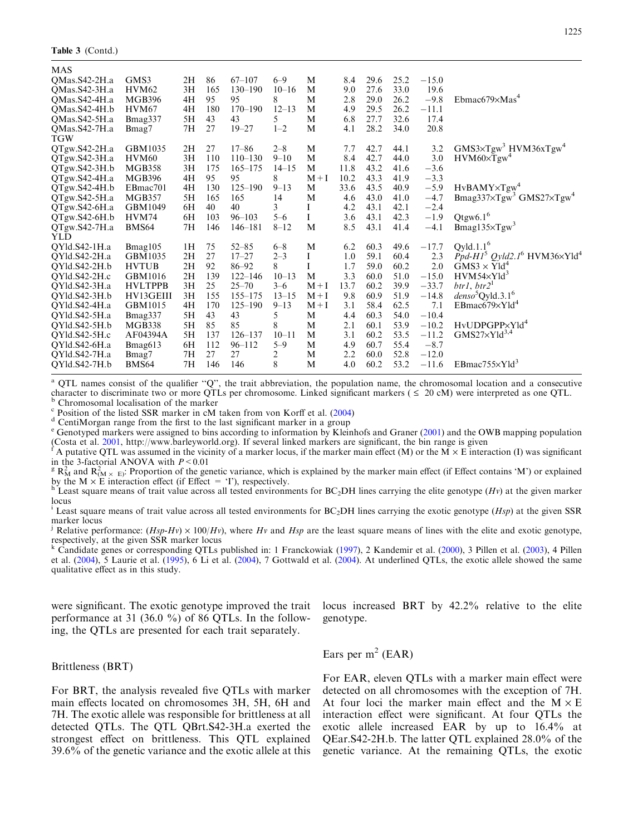Table 3 (Contd.)

| MAS                  |                   |    |     |             |           |       |      |      |      |         |                                                                   |
|----------------------|-------------------|----|-----|-------------|-----------|-------|------|------|------|---------|-------------------------------------------------------------------|
| OMas.S42-2H.a        | GMS3              | 2H | 86  | $67 - 107$  | $6 - 9$   | M     | 8.4  | 29.6 | 25.2 | $-15.0$ |                                                                   |
| OMas.S42-3H.a        | HVM <sub>62</sub> | 3H | 165 | $130 - 190$ | $10 - 16$ | M     | 9.0  | 27.6 | 33.0 | 19.6    |                                                                   |
| QMas.S42-4H.a        | <b>MGB396</b>     | 4H | 95  | 95          | 8         | M     | 2.8  | 29.0 | 26.2 | $-9.8$  | Ebmac679 $\times$ Mas <sup>4</sup>                                |
| QMas.S42-4H.b        | HVM67             | 4H | 180 | $170 - 190$ | $12 - 13$ | M     | 4.9  | 29.5 | 26.2 | $-11.1$ |                                                                   |
| QMas.S42-5H.a        | Bmag337           | 5H | 43  | 43          | 5         | M     | 6.8  | 27.7 | 32.6 | 17.4    |                                                                   |
| QMas.S42-7H.a<br>TGW | Bmag7             | 7H | 27  | $19 - 27$   | $1 - 2$   | M     | 4.1  | 28.2 | 34.0 | 20.8    |                                                                   |
| QTgw.S42-2H.a        | GBM1035           | 2H | 27  | $17 - 86$   | $2 - 8$   | M     | 7.7  | 42.7 | 44.1 | 3.2     | GMS3×Tgw <sup>3</sup> HVM36xTgw <sup>4</sup>                      |
| QTgw.S42-3H.a        | <b>HVM60</b>      | 3H | 110 | $110 - 130$ | $9 - 10$  | M     | 8.4  | 42.7 | 44.0 | 3.0     | $HVM60\times Tgw$ <sup>4</sup>                                    |
| QTgw.S42-3H.b        | <b>MGB358</b>     | 3H | 175 | $165 - 175$ | $14 - 15$ | M     | 11.8 | 43.2 | 41.6 | $-3.6$  |                                                                   |
| QTgw.S42-4H.a        | <b>MGB396</b>     | 4H | 95  | 95          | 8         | $M+I$ | 10.2 | 43.3 | 41.9 | $-3.3$  |                                                                   |
| QTgw.S42-4H.b        | EBmac701          | 4H | 130 | $125 - 190$ | $9 - 13$  | M     | 33.6 | 43.5 | 40.9 | $-5.9$  | $HvBAMY \times Tgw^4$                                             |
| QTgw.S42-5H.a        | <b>MGB357</b>     | 5H | 165 | 165         | 14        | M     | 4.6  | 43.0 | 41.0 | $-4.7$  | Bmag337 $\times$ Tgw <sup>3</sup> GMS27 $\times$ Tgw <sup>4</sup> |
| QTgw.S42-6H.a        | GBM1049           | 6H | 40  | 40          | 3         | I     | 4.2  | 43.1 | 42.1 | $-2.4$  |                                                                   |
| QTgw.S42-6H.b        | HVM74             | 6H | 103 | $96 - 103$  | $5 - 6$   | Ι     | 3.6  | 43.1 | 42.3 | $-1.9$  | Qtgw6.1 <sup>6</sup>                                              |
| QTgw.S42-7H.a        | BMS64             | 7H | 146 | $146 - 181$ | $8 - 12$  | M     | 8.5  | 43.1 | 41.4 | $-4.1$  | $Bmag135\times Tgw3$                                              |
| YLD                  |                   |    |     |             |           |       |      |      |      |         |                                                                   |
| QYld.S42-1H.a        | Bmag105           | 1H | 75  | $52 - 85$   | $6 - 8$   | M     | 6.2  | 60.3 | 49.6 | $-17.7$ | $Qy$ ld.1.1 <sup>6</sup>                                          |
| QYld.S42-2H.a        | GBM1035           | 2H | 27  | $17 - 27$   | $2 - 3$   | I     | 1.0  | 59.1 | 60.4 | 2.3     | Ppd-H1 <sup>5</sup> Qyld2.1 <sup>6</sup> HVM36×Yld <sup>4</sup>   |
| QYld.S42-2H.b        | <b>HVTUB</b>      | 2H | 92  | $86 - 92$   | 8         | Ι     | 1.7  | 59.0 | 60.2 | 2.0     | $GMS3 \times Yld^4$                                               |
| OYld.S42-2H.c        | GBM1016           | 2H | 139 | $122 - 146$ | $10 - 13$ | M     | 3.3  | 60.0 | 51.0 | $-15.0$ | $HVM54\times Yld^3$                                               |
| QYld.S42-3H.a        | <b>HVLTPPB</b>    | 3H | 25  | $25 - 70$   | $3 - 6$   | $M+I$ | 13.7 | 60.2 | 39.9 | $-33.7$ | btr1, btr2 <sup>1</sup>                                           |
| QYld.S42-3H.b        | HV13GEIII         | 3H | 155 | $155 - 175$ | $13 - 15$ | $M+I$ | 9.8  | 60.9 | 51.9 | $-14.8$ | denso <sup>5</sup> Qyld.3.1 <sup>6</sup>                          |
| QYld.S42-4H.a        | GBM1015           | 4H | 170 | $125 - 190$ | $9 - 13$  | $M+I$ | 3.1  | 58.4 | 62.5 | 7.1     | $EBmac679\times Yld^4$                                            |
| QYld.S42-5H.a        | Bmag337           | 5H | 43  | 43          | 5         | M     | 4.4  | 60.3 | 54.0 | $-10.4$ |                                                                   |
| QYld.S42-5H.b        | <b>MGB338</b>     | 5H | 85  | 85          | 8         | M     | 2.1  | 60.1 | 53.9 | $-10.2$ | HvUDPGPP×Yld <sup>4</sup>                                         |
| QYld.S42-5H.c        | AF04394A          | 5H | 137 | $126 - 137$ | $10 - 11$ | M     | 3.1  | 60.2 | 53.5 | $-11.2$ | $GMS27\times Y1d^{3,4}$                                           |
| QYld.S42-6H.a        | Bmag613           | 6H | 112 | $96 - 112$  | $5 - 9$   | M     | 4.9  | 60.7 | 55.4 | $-8.7$  |                                                                   |
| QYld.S42-7H.a        | Bmag7             | 7H | 27  | 27          | 2         | M     | 2.2  | 60.0 | 52.8 | $-12.0$ |                                                                   |
| QYld.S42-7H.b        | <b>BMS64</b>      | 7H | 146 | 146         | 8         | M     | 4.0  | 60.2 | 53.2 | $-11.6$ | $EBmac755\times Yld^3$                                            |
|                      |                   |    |     |             |           |       |      |      |      |         |                                                                   |

<sup>a</sup> QTL names consist of the qualifier "Q", the trait abbreviation, the population name, the chromosomal location and a consecutive character to discriminate two or more QTLs per chromosome. Linked significant markers ( $\$ <sup>b</sup> Chromosomal localisation of the marker<br>
<sup>c</sup> Position of the listed SSR marker in cM taken from von Korff et al. [\(2004](#page-9-0))<br>
<sup>d</sup> CentiMorgan range from the first to the last significant marker in a group<br>
<sup>e</sup> Genotyped mark

(Costa et al. [2001](#page-8-0), http://www.barleyworld.org). If several linked markers are significant, the bin range is given<br>  $f$  A putative QTL was assumed in the vicinity of a marker locus, if the marker main effect (M) or the M

in the 3-factorial ANOVA with  $P < 0.01$ <br><sup>g</sup> R<sub>M</sub> and R<sub>(M × E)</sub>: Proportion of the genetic variance, which is explained by the marker main effect (if Effect contains 'M') or explained by the M  $\times$  E interaction effect (if Effect = 'I'), respectively.<br>h Least square means of trait value across all tested environments for BC<sub>2</sub>DH lines carrying the elite genotype (Hv) at the given marker

locus

<sup>1</sup> Least square means of trait value across all tested environments for  $BC_2DH$  lines carrying the exotic genotype ( $Hsp$ ) at the given SSR marker locus

<sup>j</sup> Relative performance:  $(Hsp-Hv) \times 100/Hv$ , where Hv and Hsp are the least square means of lines with the elite and exotic genotype, respectively, at the given SSR marker locus

<sup>k</sup> Candidate genes or corresponding QTLs published in: 1 Franckowiak ([1997\)](#page-8-0), 2 Kandemir et al. ([2000\)](#page-9-0), 3 Pillen et al. [\(2003](#page-9-0)), 4 Pillen et al. [\(2004](#page-9-0)), 5 Laurie et al. ([1995\)](#page-9-0), 6 Li et al. [\(2004](#page-9-0)), 7 Gottwald et al. ([2004\)](#page-9-0). At underlined QTLs, the exotic allele showed the same qualitative effect as in this study.

were significant. The exotic genotype improved the trait performance at 31 (36.0 %) of 86 QTLs. In the following, the QTLs are presented for each trait separately.

locus increased BRT by 42.2% relative to the elite genotype.

Brittleness (BRT)

For BRT, the analysis revealed five QTLs with marker main effects located on chromosomes 3H, 5H, 6H and 7H. The exotic allele was responsible for brittleness at all detected QTLs. The QTL QBrt.S42-3H.a exerted the strongest effect on brittleness. This QTL explained 39.6% of the genetic variance and the exotic allele at this Ears per  $m<sup>2</sup>$  (EAR)

For EAR, eleven QTLs with a marker main effect were detected on all chromosomes with the exception of 7H. At four loci the marker main effect and the  $M \times E$ interaction effect were significant. At four QTLs the exotic allele increased EAR by up to 16.4% at QEar.S42-2H.b. The latter QTL explained 28.0% of the genetic variance. At the remaining QTLs, the exotic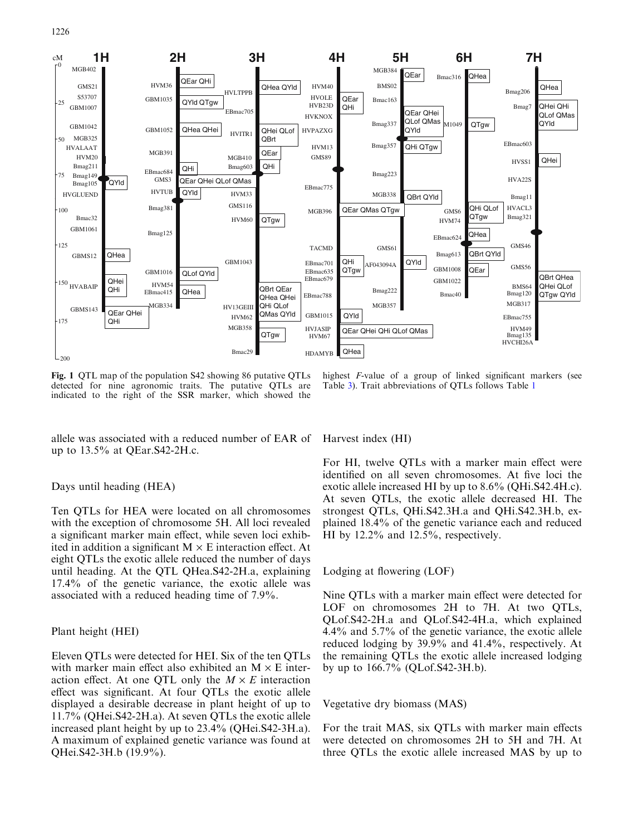<span id="page-5-0"></span>

Fig. 1 QTL map of the population S42 showing 86 putative QTLs detected for nine agronomic traits. The putative QTLs are indicated to the right of the SSR marker, which showed the

highest F-value of a group of linked significant markers (see Table [3](#page-3-0)). Trait abbreviations of QTLs follows Table [1](#page-2-0)

allele was associated with a reduced number of EAR of up to 13.5% at QEar.S42-2H.c.

## Days until heading (HEA)

Ten QTLs for HEA were located on all chromosomes with the exception of chromosome 5H. All loci revealed a significant marker main effect, while seven loci exhibited in addition a significant  $M \times E$  interaction effect. At eight QTLs the exotic allele reduced the number of days until heading. At the QTL QHea.S42-2H.a, explaining 17.4% of the genetic variance, the exotic allele was associated with a reduced heading time of 7.9%.

## Plant height (HEI)

Eleven QTLs were detected for HEI. Six of the ten QTLs with marker main effect also exhibited an  $M \times E$  interaction effect. At one QTL only the  $M \times E$  interaction effect was significant. At four QTLs the exotic allele displayed a desirable decrease in plant height of up to 11.7% (QHei.S42-2H.a). At seven QTLs the exotic allele increased plant height by up to 23.4% (QHei.S42-3H.a). A maximum of explained genetic variance was found at QHei.S42-3H.b (19.9%).

Harvest index (HI)

For HI, twelve QTLs with a marker main effect were identified on all seven chromosomes. At five loci the exotic allele increased HI by up to 8.6% (QHi.S42.4H.c). At seven QTLs, the exotic allele decreased HI. The strongest QTLs, QHi.S42.3H.a and QHi.S42.3H.b, explained 18.4% of the genetic variance each and reduced HI by 12.2% and 12.5%, respectively.

#### Lodging at flowering (LOF)

Nine QTLs with a marker main effect were detected for LOF on chromosomes 2H to 7H. At two QTLs, QLof.S42-2H.a and QLof.S42-4H.a, which explained 4.4% and 5.7% of the genetic variance, the exotic allele reduced lodging by 39.9% and 41.4%, respectively. At the remaining QTLs the exotic allele increased lodging by up to 166.7% (QLof.S42-3H.b).

## Vegetative dry biomass (MAS)

For the trait MAS, six QTLs with marker main effects were detected on chromosomes 2H to 5H and 7H. At three QTLs the exotic allele increased MAS by up to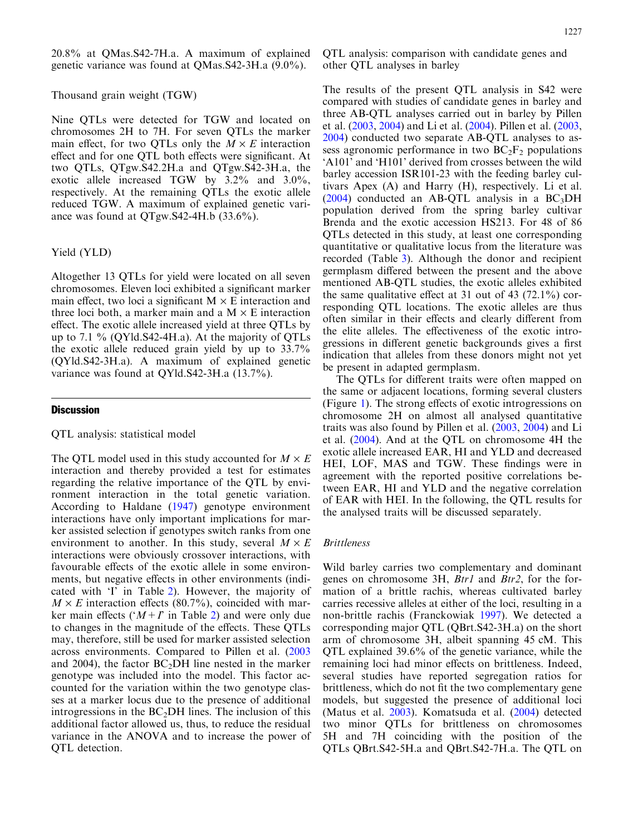20.8% at QMas.S42-7H.a. A maximum of explained genetic variance was found at QMas.S42-3H.a (9.0%).

#### Thousand grain weight (TGW)

Nine QTLs were detected for TGW and located on chromosomes 2H to 7H. For seven QTLs the marker main effect, for two QTLs only the  $M \times E$  interaction effect and for one QTL both effects were significant. At two QTLs, QTgw.S42.2H.a and QTgw.S42-3H.a, the exotic allele increased TGW by 3.2% and 3.0%, respectively. At the remaining QTLs the exotic allele reduced TGW. A maximum of explained genetic variance was found at QTgw.S42-4H.b (33.6%).

## Yield (YLD)

Altogether 13 QTLs for yield were located on all seven chromosomes. Eleven loci exhibited a significant marker main effect, two loci a significant  $M \times E$  interaction and three loci both, a marker main and a  $M \times E$  interaction effect. The exotic allele increased yield at three QTLs by up to 7.1 % (QYld.S42-4H.a). At the majority of QTLs the exotic allele reduced grain yield by up to 33.7% (QYld.S42-3H.a). A maximum of explained genetic variance was found at QYld.S42-3H.a (13.7%).

## **Discussion**

#### QTL analysis: statistical model

The QTL model used in this study accounted for  $M \times E$ interaction and thereby provided a test for estimates regarding the relative importance of the QTL by environment interaction in the total genetic variation. According to Haldane ([1947\)](#page-9-0) genotype environment interactions have only important implications for marker assisted selection if genotypes switch ranks from one environment to another. In this study, several  $M \times E$ interactions were obviously crossover interactions, with favourable effects of the exotic allele in some environments, but negative effects in other environments (indicated with 'I' in Table [2\)](#page-2-0). However, the majority of  $M \times E$  interaction effects (80.7%), coincided with marker main effects ( $(M+T)$  in Table [2](#page-2-0)) and were only due to changes in the magnitude of the effects. These QTLs may, therefore, still be used for marker assisted selection across environments. Compared to Pillen et al. ([2003](#page-9-0) and 2004), the factor  $BC<sub>2</sub>DH$  line nested in the marker genotype was included into the model. This factor accounted for the variation within the two genotype classes at a marker locus due to the presence of additional introgressions in the  $BC<sub>2</sub>DH$  lines. The inclusion of this additional factor allowed us, thus, to reduce the residual variance in the ANOVA and to increase the power of QTL detection.

QTL analysis: comparison with candidate genes and other QTL analyses in barley

The results of the present QTL analysis in S42 were compared with studies of candidate genes in barley and three AB-QTL analyses carried out in barley by Pillen et al. ([2003](#page-9-0), [2004\)](#page-9-0) and Li et al. ([2004](#page-9-0)). Pillen et al. [\(2003](#page-9-0), [2004\)](#page-9-0) conducted two separate AB-QTL analyses to assess agronomic performance in two  $BC_2F_2$  populations 'A101' and 'H101' derived from crosses between the wild barley accession ISR101-23 with the feeding barley cultivars Apex (A) and Harry (H), respectively. Li et al.  $(2004)$  $(2004)$  $(2004)$  conducted an AB-QTL analysis in a BC<sub>3</sub>DH population derived from the spring barley cultivar Brenda and the exotic accession HS213. For 48 of 86 QTLs detected in this study, at least one corresponding quantitative or qualitative locus from the literature was recorded (Table [3](#page-3-0)). Although the donor and recipient germplasm differed between the present and the above mentioned AB-QTL studies, the exotic alleles exhibited the same qualitative effect at 31 out of 43  $(72.1\%)$  corresponding QTL locations. The exotic alleles are thus often similar in their effects and clearly different from the elite alleles. The effectiveness of the exotic introgressions in different genetic backgrounds gives a first indication that alleles from these donors might not yet be present in adapted germplasm.

The QTLs for different traits were often mapped on the same or adjacent locations, forming several clusters (Figure [1\)](#page-5-0). The strong effects of exotic introgressions on chromosome 2H on almost all analysed quantitative traits was also found by Pillen et al. ([2003](#page-9-0), [2004](#page-9-0)) and Li et al. [\(2004\)](#page-9-0). And at the QTL on chromosome 4H the exotic allele increased EAR, HI and YLD and decreased HEI, LOF, MAS and TGW. These findings were in agreement with the reported positive correlations between EAR, HI and YLD and the negative correlation of EAR with HEI. In the following, the QTL results for the analysed traits will be discussed separately.

## Brittleness

Wild barley carries two complementary and dominant genes on chromosome 3H, *Btr1* and *Btr2*, for the formation of a brittle rachis, whereas cultivated barley carries recessive alleles at either of the loci, resulting in a non-brittle rachis (Franckowiak [1997](#page-8-0)). We detected a corresponding major QTL (QBrt.S42-3H.a) on the short arm of chromosome 3H, albeit spanning 45 cM. This QTL explained 39.6% of the genetic variance, while the remaining loci had minor effects on brittleness. Indeed, several studies have reported segregation ratios for brittleness, which do not fit the two complementary gene models, but suggested the presence of additional loci (Matus et al. [2003](#page-9-0)). Komatsuda et al. ([2004](#page-9-0)) detected two minor QTLs for brittleness on chromosomes 5H and 7H coinciding with the position of the QTLs QBrt.S42-5H.a and QBrt.S42-7H.a. The QTL on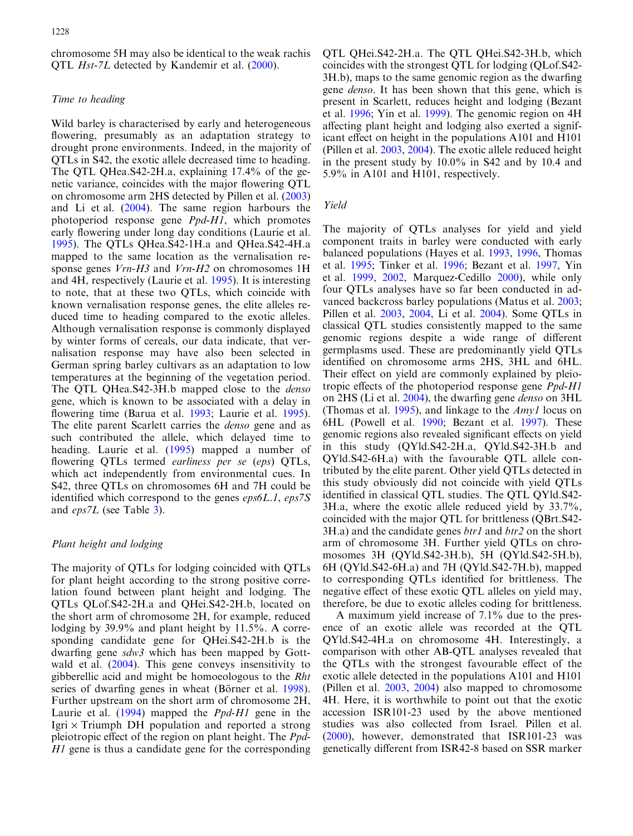chromosome 5H may also be identical to the weak rachis QTL Hst-7L detected by Kandemir et al. [\(2000\)](#page-9-0).

## Time to heading

Wild barley is characterised by early and heterogeneous flowering, presumably as an adaptation strategy to drought prone environments. Indeed, in the majority of QTLs in S42, the exotic allele decreased time to heading. The QTL QHea.S42-2H.a, explaining 17.4% of the genetic variance, coincides with the major flowering QTL on chromosome arm 2HS detected by Pillen et al. [\(2003\)](#page-9-0) and Li et al. [\(2004](#page-9-0)). The same region harbours the photoperiod response gene Ppd-H1, which promotes early flowering under long day conditions (Laurie et al. [1995](#page-9-0)). The QTLs QHea.S42-1H.a and QHea.S42-4H.a mapped to the same location as the vernalisation response genes  $Vrn-H3$  and  $Vrn-H2$  on chromosomes 1H and 4H, respectively (Laurie et al. [1995](#page-9-0)). It is interesting to note, that at these two QTLs, which coincide with known vernalisation response genes, the elite alleles reduced time to heading compared to the exotic alleles. Although vernalisation response is commonly displayed by winter forms of cereals, our data indicate, that vernalisation response may have also been selected in German spring barley cultivars as an adaptation to low temperatures at the beginning of the vegetation period. The OTL OHea.S42-3H.b mapped close to the *denso* gene, which is known to be associated with a delay in flowering time (Barua et al. [1993](#page-8-0); Laurie et al. [1995\)](#page-9-0). The elite parent Scarlett carries the denso gene and as such contributed the allele, which delayed time to heading. Laurie et al. [\(1995](#page-9-0)) mapped a number of flowering QTLs termed *earliness per se* (*eps*) QTLs, which act independently from environmental cues. In S42, three QTLs on chromosomes 6H and 7H could be identified which correspond to the genes  $\epsilon p s \delta L.1$ ,  $\epsilon p s \delta S$ and eps7L (see Table [3](#page-3-0)).

## Plant height and lodging

The majority of QTLs for lodging coincided with QTLs for plant height according to the strong positive correlation found between plant height and lodging. The QTLs QLof.S42-2H.a and QHei.S42-2H.b, located on the short arm of chromosome 2H, for example, reduced lodging by 39.9% and plant height by 11.5%. A corresponding candidate gene for QHei.S42-2H.b is the dwarfing gene sdw3 which has been mapped by Gottwald et al. [\(2004](#page-9-0)). This gene conveys insensitivity to gibberellic acid and might be homoeologous to the Rht series of dwarfing genes in wheat (Börner et al. [1998\)](#page-8-0). Further upstream on the short arm of chromosome 2H, Laurie et al. ([1994\)](#page-9-0) mapped the *Ppd-H1* gene in the Igri  $\times$  Triumph DH population and reported a strong pleiotropic effect of the region on plant height. The Ppd-H<sub>1</sub> gene is thus a candidate gene for the corresponding QTL QHei.S42-2H.a. The QTL QHei.S42-3H.b, which coincides with the strongest QTL for lodging (QLof.S42- 3H.b), maps to the same genomic region as the dwarfing gene *denso*. It has been shown that this gene, which is present in Scarlett, reduces height and lodging (Bezant et al. [1996;](#page-8-0) Yin et al. [1999](#page-10-0)). The genomic region on 4H affecting plant height and lodging also exerted a significant effect on height in the populations A101 and H101 (Pillen et al. [2003,](#page-9-0) [2004](#page-9-0)). The exotic allele reduced height in the present study by 10.0% in S42 and by 10.4 and 5.9% in A101 and H101, respectively.

#### Yield

The majority of QTLs analyses for yield and yield component traits in barley were conducted with early balanced populations (Hayes et al. [1993](#page-9-0), [1996,](#page-9-0) Thomas et al. [1995;](#page-9-0) Tinker et al. [1996](#page-9-0); Bezant et al. [1997,](#page-8-0) Yin et al. [1999](#page-10-0), [2002,](#page-10-0) Marquez-Cedillo [2000\)](#page-9-0), while only four QTLs analyses have so far been conducted in advanced backcross barley populations (Matus et al. [2003](#page-9-0); Pillen et al. [2003,](#page-9-0) [2004,](#page-9-0) Li et al. [2004](#page-9-0)). Some QTLs in classical QTL studies consistently mapped to the same genomic regions despite a wide range of different germplasms used. These are predominantly yield QTLs identified on chromosome arms 2HS, 3HL and 6HL. Their effect on yield are commonly explained by pleiotropic effects of the photoperiod response gene *Ppd-H1* on 2HS (Li et al. [2004](#page-9-0)), the dwarfing gene denso on 3HL (Thomas et al. [1995](#page-9-0)), and linkage to the  $Amyl$  locus on 6HL (Powell et al. [1990;](#page-9-0) Bezant et al. [1997\)](#page-8-0). These genomic regions also revealed significant effects on yield in this study (QYld.S42-2H.a, QYld.S42-3H.b and QYld.S42-6H.a) with the favourable QTL allele contributed by the elite parent. Other yield QTLs detected in this study obviously did not coincide with yield QTLs identified in classical QTL studies. The QTL QYld.S42- 3H.a, where the exotic allele reduced yield by 33.7%, coincided with the major QTL for brittleness (QBrt.S42-  $3H.a)$  and the candidate genes *btr1* and *btr2* on the short arm of chromosome 3H. Further yield QTLs on chromosomes 3H (QYld.S42-3H.b), 5H (QYld.S42-5H.b), 6H (QYld.S42-6H.a) and 7H (QYld.S42-7H.b), mapped to corresponding QTLs identified for brittleness. The negative effect of these exotic QTL alleles on yield may, therefore, be due to exotic alleles coding for brittleness.

A maximum yield increase of 7.1% due to the presence of an exotic allele was recorded at the QTL QYld.S42-4H.a on chromosome 4H. Interestingly, a comparison with other AB-QTL analyses revealed that the QTLs with the strongest favourable effect of the exotic allele detected in the populations A101 and H101 (Pillen et al. [2003,](#page-9-0) [2004](#page-9-0)) also mapped to chromosome 4H. Here, it is worthwhile to point out that the exotic accession ISR101-23 used by the above mentioned studies was also collected from Israel. Pillen et al. ([2000\)](#page-9-0), however, demonstrated that ISR101-23 was genetically different from ISR42-8 based on SSR marker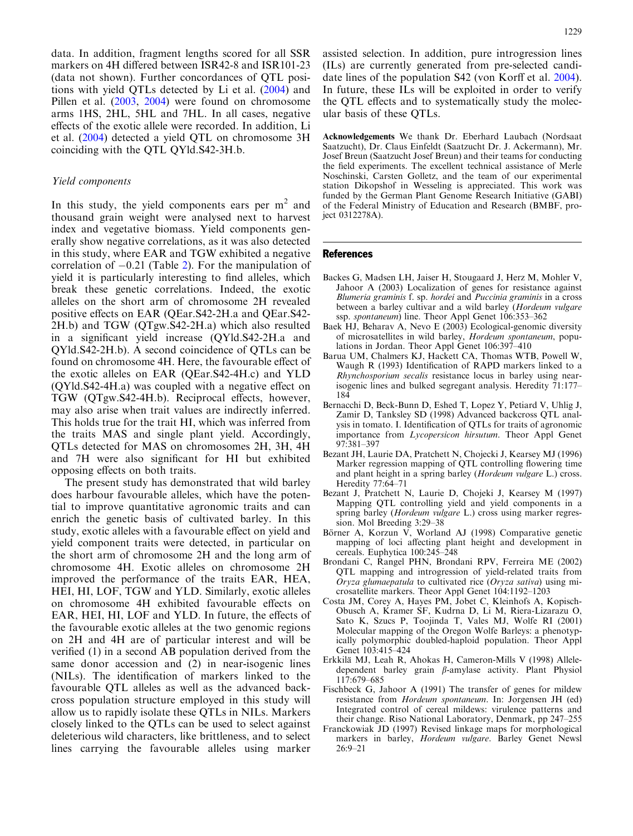<span id="page-8-0"></span>data. In addition, fragment lengths scored for all SSR markers on 4H differed between ISR42-8 and ISR101-23 (data not shown). Further concordances of QTL positions with yield QTLs detected by Li et al. ([2004](#page-9-0)) and Pillen et al. ([2003,](#page-9-0) [2004\)](#page-9-0) were found on chromosome arms 1HS, 2HL, 5HL and 7HL. In all cases, negative effects of the exotic allele were recorded. In addition, Li et al. [\(2004\)](#page-9-0) detected a yield QTL on chromosome 3H coinciding with the QTL QYld.S42-3H.b.

## Yield components

In this study, the yield components ears per  $m<sup>2</sup>$  and thousand grain weight were analysed next to harvest index and vegetative biomass. Yield components generally show negative correlations, as it was also detected in this study, where EAR and TGW exhibited a negative correlation of  $-0.21$  $-0.21$  $-0.21$  (Table 2). For the manipulation of yield it is particularly interesting to find alleles, which break these genetic correlations. Indeed, the exotic alleles on the short arm of chromosome 2H revealed positive effects on EAR (QEar.S42-2H.a and QEar.S42- 2H.b) and TGW (QTgw.S42-2H.a) which also resulted in a significant yield increase (QYld.S42-2H.a and QYld.S42-2H.b). A second coincidence of QTLs can be found on chromosome 4H. Here, the favourable effect of the exotic alleles on EAR (QEar.S42-4H.c) and YLD (QYld.S42-4H.a) was coupled with a negative effect on TGW (QTgw.S42-4H.b). Reciprocal effects, however, may also arise when trait values are indirectly inferred. This holds true for the trait HI, which was inferred from the traits MAS and single plant yield. Accordingly, QTLs detected for MAS on chromosomes 2H, 3H, 4H and 7H were also significant for HI but exhibited opposing effects on both traits.

The present study has demonstrated that wild barley does harbour favourable alleles, which have the potential to improve quantitative agronomic traits and can enrich the genetic basis of cultivated barley. In this study, exotic alleles with a favourable effect on yield and yield component traits were detected, in particular on the short arm of chromosome 2H and the long arm of chromosome 4H. Exotic alleles on chromosome 2H improved the performance of the traits EAR, HEA, HEI, HI, LOF, TGW and YLD. Similarly, exotic alleles on chromosome 4H exhibited favourable effects on EAR, HEI, HI, LOF and YLD. In future, the effects of the favourable exotic alleles at the two genomic regions on 2H and 4H are of particular interest and will be verified (1) in a second AB population derived from the same donor accession and (2) in near-isogenic lines (NILs). The identification of markers linked to the favourable QTL alleles as well as the advanced backcross population structure employed in this study will allow us to rapidly isolate these QTLs in NILs. Markers closely linked to the QTLs can be used to select against deleterious wild characters, like brittleness, and to select lines carrying the favourable alleles using marker

assisted selection. In addition, pure introgression lines (ILs) are currently generated from pre-selected candidate lines of the population S42 (von Korff et al. [2004\)](#page-9-0). In future, these ILs will be exploited in order to verify the QTL effects and to systematically study the molecular basis of these QTLs.

Acknowledgements We thank Dr. Eberhard Laubach (Nordsaat Saatzucht), Dr. Claus Einfeldt (Saatzucht Dr. J. Ackermann), Mr. Josef Breun (Saatzucht Josef Breun) and their teams for conducting the field experiments. The excellent technical assistance of Merle Noschinski, Carsten Golletz, and the team of our experimental station Dikopshof in Wesseling is appreciated. This work was funded by the German Plant Genome Research Initiative (GABI) of the Federal Ministry of Education and Research (BMBF, project 0312278A).

#### References

- Backes G, Madsen LH, Jaiser H, Stougaard J, Herz M, Mohler V, Jahoor A (2003) Localization of genes for resistance against Blumeria graminis f. sp. hordei and Puccinia graminis in a cross between a barley cultivar and a wild barley (Hordeum vulgare ssp. spontaneum) line. Theor Appl Genet 106:353–362
- Baek HJ, Beharav A, Nevo E (2003) Ecological-genomic diversity of microsatellites in wild barley, Hordeum spontaneum, populations in Jordan. Theor Appl Genet 106:397–410
- Barua UM, Chalmers KJ, Hackett CA, Thomas WTB, Powell W, Waugh R (1993) Identification of RAPD markers linked to a Rhynchosporium secalis resistance locus in barley using nearisogenic lines and bulked segregant analysis. Heredity 71:177– 184
- Bernacchi D, Beck-Bunn D, Eshed T, Lopez Y, Petiard V, Uhlig J, Zamir D, Tanksley SD (1998) Advanced backcross QTL analysis in tomato. I. Identification of QTLs for traits of agronomic importance from Lycopersicon hirsutum. Theor Appl Genet 97:381–397
- Bezant JH, Laurie DA, Pratchett N, Chojecki J, Kearsey MJ (1996) Marker regression mapping of QTL controlling flowering time and plant height in a spring barley (Hordeum vulgare L.) cross. Heredity 77:64–71
- Bezant J, Pratchett N, Laurie D, Chojeki J, Kearsey M (1997) Mapping QTL controlling yield and yield components in a spring barley (Hordeum vulgare L.) cross using marker regression. Mol Breeding 3:29–38
- Börner A, Korzun V, Worland AJ (1998) Comparative genetic mapping of loci affecting plant height and development in cereals. Euphytica 100:245–248
- Brondani C, Rangel PHN, Brondani RPV, Ferreira ME (2002) QTL mapping and introgression of yield-related traits from Oryza glumaepatula to cultivated rice (Oryza sativa) using microsatellite markers. Theor Appl Genet 104:1192–1203
- Costa JM, Corey A, Hayes PM, Jobet C, Kleinhofs A, Kopisch-Obusch A, Kramer SF, Kudrna D, Li M, Riera-Lizarazu O, Sato K, Szucs P, Toojinda T, Vales MJ, Wolfe RI (2001) Molecular mapping of the Oregon Wolfe Barleys: a phenotypically polymorphic doubled-haploid population. Theor Appl Genet 103:415–424
- Erkkila¨ MJ, Leah R, Ahokas H, Cameron-Mills V (1998) Alleledependent barley grain  $\beta$ -amylase activity. Plant Physiol 117:679–685
- Fischbeck G, Jahoor A (1991) The transfer of genes for mildew resistance from Hordeum spontaneum. In: Jorgensen JH (ed) Integrated control of cereal mildews: virulence patterns and their change. Riso National Laboratory, Denmark, pp 247–255
- Franckowiak JD (1997) Revised linkage maps for morphological markers in barley, Hordeum vulgare. Barley Genet Newsl 26:9–21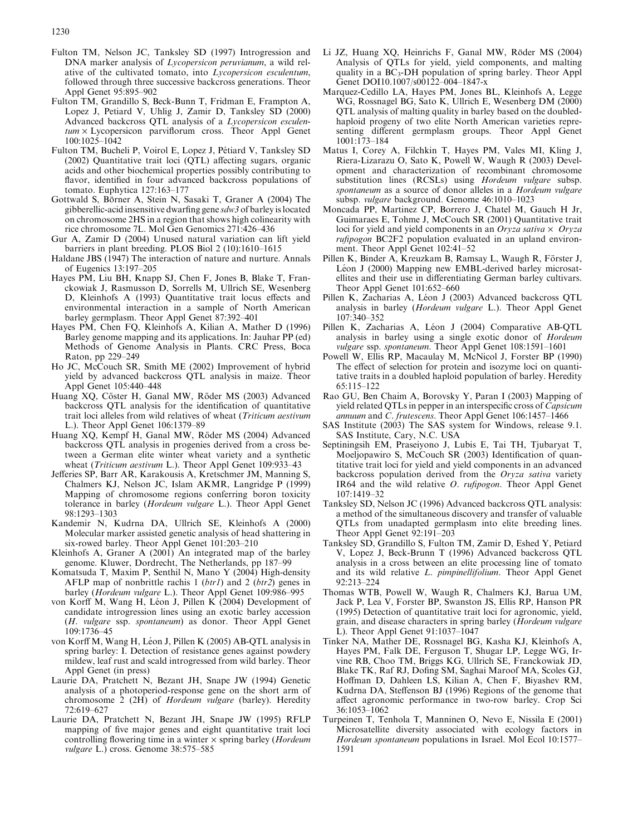- <span id="page-9-0"></span>Fulton TM, Nelson JC, Tanksley SD (1997) Introgression and DNA marker analysis of *Lycopersicon peruvianum*, a wild relative of the cultivated tomato, into Lycopersicon esculentum, followed through three successive backcross generations. Theor Appl Genet 95:895–902
- Fulton TM, Grandillo S, Beck-Bunn T, Fridman E, Frampton A, Lopez J, Petiard V, Uhlig J, Zamir D, Tanksley SD (2000) Advanced backcross QTL analysis of a *Lycopersicon esculen* $tum \times Lycopersicon$  parviflorum cross. Theor Appl Genet 100:1025–1042
- Fulton TM, Bucheli P, Voirol E, Lopez J, Pétiard V, Tanksley SD (2002) Quantitative trait loci (QTL) affecting sugars, organic acids and other biochemical properties possibly contributing to flavor, identified in four advanced backcross populations of tomato. Euphytica 127:163–177
- Gottwald S, Börner A, Stein N, Sasaki T, Graner A (2004) The gibberellic-acid insensitive dwarfing gene sdw3 of barley is located on chromosome 2HS in a region that shows high colinearity with rice chromosome 7L. Mol Gen Genomics 271:426–436
- Gur A, Zamir D (2004) Unused natural variation can lift yield barriers in plant breeding. PLOS Biol 2 (10):1610–1615
- Haldane JBS (1947) The interaction of nature and nurture. Annals of Eugenics 13:197–205
- Hayes PM, Liu BH, Knapp SJ, Chen F, Jones B, Blake T, Franckowiak J, Rasmusson D, Sorrells M, Ullrich SE, Wesenberg D, Kleinhofs A (1993) Quantitative trait locus effects and environmental interaction in a sample of North American barley germplasm. Theor Appl Genet 87:392–401
- Hayes PM, Chen FQ, Kleinhofs A, Kilian A, Mather D (1996) Barley genome mapping and its applications. In: Jauhar PP (ed) Methods of Genome Analysis in Plants. CRC Press, Boca Raton, pp 229–249
- Ho JC, McCouch SR, Smith ME (2002) Improvement of hybrid yield by advanced backcross QTL analysis in maize. Theor Appl Genet 105:440–448
- Huang XO, Cöster H, Ganal MW, Röder MS (2003) Advanced backcross QTL analysis for the identification of quantitative trait loci alleles from wild relatives of wheat (Triticum aestivum L.). Theor Appl Genet 106:1379–89
- Huang XQ, Kempf H, Ganal MW, Röder MS (2004) Advanced backcross QTL analysis in progenies derived from a cross between a German elite winter wheat variety and a synthetic wheat (Triticum aestivum L.). Theor Appl Genet 109:933-43
- Jefferies SP, Barr AR, Karakousis A, Kretschmer JM, Manning S, Chalmers KJ, Nelson JC, Islam AKMR, Langridge P (1999) Mapping of chromosome regions conferring boron toxicity tolerance in barley (Hordeum vulgare L.). Theor Appl Genet 98:1293–1303
- Kandemir N, Kudrna DA, Ullrich SE, Kleinhofs A (2000) Molecular marker assisted genetic analysis of head shattering in six-rowed barley. Theor Appl Genet 101:203–210
- Kleinhofs A, Graner A (2001) An integrated map of the barley genome. Kluwer, Dordrecht, The Netherlands, pp 187–99
- Komatsuda T, Maxim P, Senthil N, Mano Y (2004) High-density AFLP map of nonbrittle rachis 1 ( $btr1$ ) and 2 ( $btr2$ ) genes in barley (Hordeum vulgare L.). Theor Appl Genet 109:986–995
- von Korff M, Wang H, Léon J, Pillen K (2004) Development of candidate introgression lines using an exotic barley accession (H. vulgare ssp. spontaneum) as donor. Theor Appl Genet 109:1736–45
- von Korff M, Wang H, Léon J, Pillen K (2005) AB-QTL analysis in spring barley: I. Detection of resistance genes against powdery mildew, leaf rust and scald introgressed from wild barley. Theor Appl Genet (in press)
- Laurie DA, Pratchett N, Bezant JH, Snape JW (1994) Genetic analysis of a photoperiod-response gene on the short arm of chromosome 2 (2H) of Hordeum vulgare (barley). Heredity 72:619–627
- Laurie DA, Pratchett N, Bezant JH, Snape JW (1995) RFLP mapping of five major genes and eight quantitative trait loci controlling flowering time in a winter  $\times$  spring barley (*Hordeum* vulgare L.) cross. Genome 38:575–585
- Li JZ, Huang XQ, Heinrichs F, Ganal MW, Röder MS (2004) Analysis of QTLs for yield, yield components, and malting quality in a  $BC_3$ -DH population of spring barley. Theor Appl Genet DOI10.1007/s00122–004–1847-x
- Marquez-Cedillo LA, Hayes PM, Jones BL, Kleinhofs A, Legge WG, Rossnagel BG, Sato K, Ullrich E, Wesenberg DM (2000) QTL analysis of malting quality in barley based on the doubledhaploid progeny of two elite North American varieties representing different germplasm groups. Theor Appl Genet 1001:173–184
- Matus I, Corey A, Filchkin T, Hayes PM, Vales MI, Kling J, Riera-Lizarazu O, Sato K, Powell W, Waugh R (2003) Development and characterization of recombinant chromosome substitution lines (RCSLs) using Hordeum vulgare subsp. spontaneum as a source of donor alleles in a Hordeum vulgare subsp. vulgare background. Genome 46:1010–1023
- Moncada PP, Martinez CP, Borrero J, Chatel M, Gauch H Jr, Guimaraes E, Tohme J, McCouch SR (2001) Quantitative trait loci for yield and yield components in an Oryza sativa  $\times$  Oryza rufipogon BC2F2 population evaluated in an upland environment. Theor Appl Genet 102:41–52
- Pillen K, Binder A, Kreuzkam B, Ramsay L, Waugh R, Förster J, Léon J (2000) Mapping new EMBL-derived barley microsatellites and their use in differentiating German barley cultivars. Theor Appl Genet 101:652–660
- Pillen K, Zacharias A, Léon J (2003) Advanced backcross OTL analysis in barley (Hordeum vulgare L.). Theor Appl Genet 107:340–352
- Pillen K, Zacharias A, Léon J (2004) Comparative AB-QTL analysis in barley using a single exotic donor of Hordeum vulgare ssp. spontaneum. Theor Appl Genet 108:1591–1601
- Powell W, Ellis RP, Macaulay M, McNicol J, Forster BP (1990) The effect of selection for protein and isozyme loci on quantitative traits in a doubled haploid population of barley. Heredity 65:115–122
- Rao GU, Ben Chaim A, Borovsky Y, Paran I (2003) Mapping of yield related QTLs in pepper in an interspecific cross of Capsicum annuum and C. frutescens. Theor Appl Genet 106:1457–1466
- SAS Institute (2003) The SAS system for Windows, release 9.1. SAS Institute, Cary, N.C. USA
- Septiningsih EM, Praseiyono J, Lubis E, Tai TH, Tjubaryat T, Moeljopawiro S, McCouch SR (2003) Identification of quantitative trait loci for yield and yield components in an advanced backcross population derived from the Oryza sativa variety IR64 and the wild relative O. rufipogon. Theor Appl Genet 107:1419–32
- Tanksley SD, Nelson JC (1996) Advanced backcross QTL analysis: a method of the simultaneous discovery and transfer of valuable QTLs from unadapted germplasm into elite breeding lines. Theor Appl Genet 92:191–203
- Tanksley SD, Grandillo S, Fulton TM, Zamir D, Eshed Y, Petiard V, Lopez J, Beck-Brunn T (1996) Advanced backcross QTL analysis in a cross between an elite processing line of tomato and its wild relative L. pimpinellifolium. Theor Appl Genet 92:213–224
- Thomas WTB, Powell W, Waugh R, Chalmers KJ, Barua UM, Jack P, Lea V, Forster BP, Swanston JS, Ellis RP, Hanson PR (1995) Detection of quantitative trait loci for agronomic, yield, grain, and disease characters in spring barley (Hordeum vulgare L). Theor Appl Genet 91:1037–1047
- Tinker NA, Mather DE, Rossnagel BG, Kasha KJ, Kleinhofs A, Hayes PM, Falk DE, Ferguson T, Shugar LP, Legge WG, Irvine RB, Choo TM, Briggs KG, Ullrich SE, Franckowiak JD, Blake TK, Raf RJ, Dofing SM, Saghai Maroof MA, Scoles GJ, Hoffman D, Dahleen LS, Kilian A, Chen F, Biyashev RM, Kudrna DA, Steffenson BJ (1996) Regions of the genome that affect agronomic performance in two-row barley. Crop Sci 36:1053–1062
- Turpeinen T, Tenhola T, Manninen O, Nevo E, Nissila E (2001) Microsatellite diversity associated with ecology factors in Hordeum spontaneum populations in Israel. Mol Ecol 10:1577– 1591